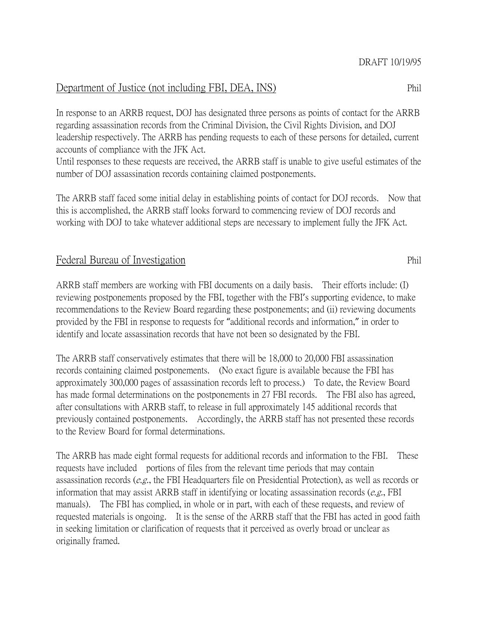# Department of Justice (not including FBI, DEA, INS) Phil

In response to an ARRB request, DOJ has designated three persons as points of contact for the ARRB regarding assassination records from the Criminal Division, the Civil Rights Division, and DOJ leadership respectively. The ARRB has pending requests to each of these persons for detailed, current accounts of compliance with the JFK Act.

Until responses to these requests are received, the ARRB staff is unable to give useful estimates of the number of DOJ assassination records containing claimed postponements.

The ARRB staff faced some initial delay in establishing points of contact for DOJ records. Now that this is accomplished, the ARRB staff looks forward to commencing review of DOJ records and working with DOJ to take whatever additional steps are necessary to implement fully the JFK Act.

## Federal Bureau of Investigation Phil

ARRB staff members are working with FBI documents on a daily basis. Their efforts include: (I) reviewing postponements proposed by the FBI, together with the FBI's supporting evidence, to make recommendations to the Review Board regarding these postponements; and (ii) reviewing documents provided by the FBI in response to requests for "additional records and information," in order to identify and locate assassination records that have not been so designated by the FBI.

The ARRB staff conservatively estimates that there will be 18,000 to 20,000 FBI assassination records containing claimed postponements. (No exact figure is available because the FBI has approximately 300,000 pages of assassination records left to process.) To date, the Review Board has made formal determinations on the postponements in 27 FBI records. The FBI also has agreed, after consultations with ARRB staff, to release in full approximately 145 additional records that previously contained postponements. Accordingly, the ARRB staff has not presented these records to the Review Board for formal determinations.

The ARRB has made eight formal requests for additional records and information to the FBI. These requests have included portions of files from the relevant time periods that may contain assassination records (e.g., the FBI Headquarters file on Presidential Protection), as well as records or information that may assist ARRB staff in identifying or locating assassination records  $(e.g., FBI)$ manuals). The FBI has complied, in whole or in part, with each of these requests, and review of requested materials is ongoing. It is the sense of the ARRB staff that the FBI has acted in good faith in seeking limitation or clarification of requests that it perceived as overly broad or unclear as originally framed.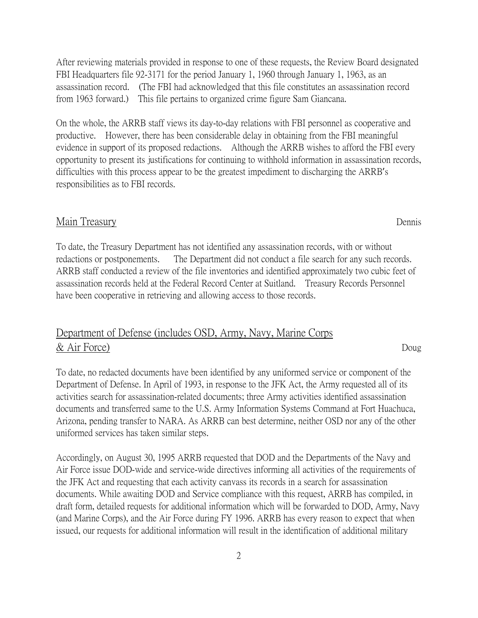After reviewing materials provided in response to one of these requests, the Review Board designated FBI Headquarters file 92-3171 for the period January 1, 1960 through January 1, 1963, as an assassination record. (The FBI had acknowledged that this file constitutes an assassination record from 1963 forward.) This file pertains to organized crime figure Sam Giancana.

On the whole, the ARRB staff views its day-to-day relations with FBI personnel as cooperative and productive. However, there has been considerable delay in obtaining from the FBI meaningful evidence in support of its proposed redactions. Although the ARRB wishes to afford the FBI every opportunity to present its justifications for continuing to withhold information in assassination records, difficulties with this process appear to be the greatest impediment to discharging the ARRB's responsibilities as to FBI records.

#### Main Treasury Dennis

To date, the Treasury Department has not identified any assassination records, with or without redactions or postponements. The Department did not conduct a file search for any such records. ARRB staff conducted a review of the file inventories and identified approximately two cubic feet of assassination records held at the Federal Record Center at Suitland. Treasury Records Personnel have been cooperative in retrieving and allowing access to those records.

# Department of Defense (includes OSD, Army, Navy, Marine Corps & Air Force) Doug

To date, no redacted documents have been identified by any uniformed service or component of the Department of Defense. In April of 1993, in response to the JFK Act, the Army requested all of its activities search for assassination-related documents; three Army activities identified assassination documents and transferred same to the U.S. Army Information Systems Command at Fort Huachuca, Arizona, pending transfer to NARA. As ARRB can best determine, neither OSD nor any of the other uniformed services has taken similar steps.

Accordingly, on August 30, 1995 ARRB requested that DOD and the Departments of the Navy and Air Force issue DOD-wide and service-wide directives informing all activities of the requirements of the JFK Act and requesting that each activity canvass its records in a search for assassination documents. While awaiting DOD and Service compliance with this request, ARRB has compiled, in draft form, detailed requests for additional information which will be forwarded to DOD, Army, Navy (and Marine Corps), and the Air Force during FY 1996. ARRB has every reason to expect that when issued, our requests for additional information will result in the identification of additional military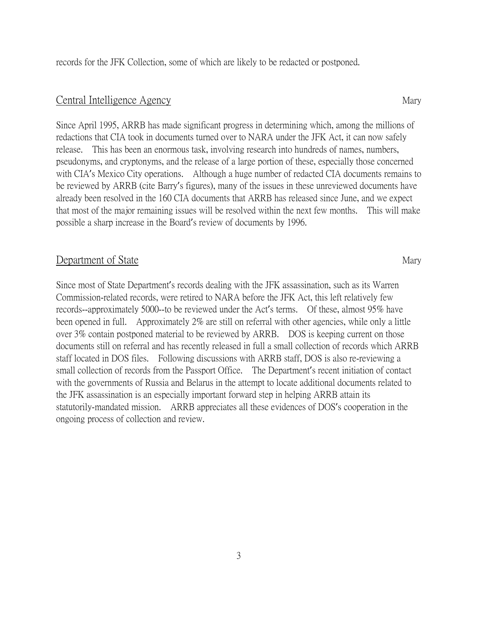records for the JFK Collection, some of which are likely to be redacted or postponed.

### Central Intelligence Agency Mary

Since April 1995, ARRB has made significant progress in determining which, among the millions of redactions that CIA took in documents turned over to NARA under the JFK Act, it can now safely release. This has been an enormous task, involving research into hundreds of names, numbers, pseudonyms, and cryptonyms, and the release of a large portion of these, especially those concerned with CIA's Mexico City operations. Although a huge number of redacted CIA documents remains to be reviewed by ARRB (cite Barry's figures), many of the issues in these unreviewed documents have already been resolved in the 160 CIA documents that ARRB has released since June, and we expect that most of the major remaining issues will be resolved within the next few months. This will make possible a sharp increase in the Board's review of documents by 1996.

#### Department of State Mary

Since most of State Department's records dealing with the JFK assassination, such as its Warren Commission-related records, were retired to NARA before the JFK Act, this left relatively few records--approximately 5000--to be reviewed under the Act's terms. Of these, almost 95% have been opened in full. Approximately 2% are still on referral with other agencies, while only a little over 3% contain postponed material to be reviewed by ARRB. DOS is keeping current on those documents still on referral and has recently released in full a small collection of records which ARRB staff located in DOS files. Following discussions with ARRB staff, DOS is also re-reviewing a small collection of records from the Passport Office. The Department's recent initiation of contact with the governments of Russia and Belarus in the attempt to locate additional documents related to the JFK assassination is an especially important forward step in helping ARRB attain its statutorily-mandated mission. ARRB appreciates all these evidences of DOS's cooperation in the ongoing process of collection and review.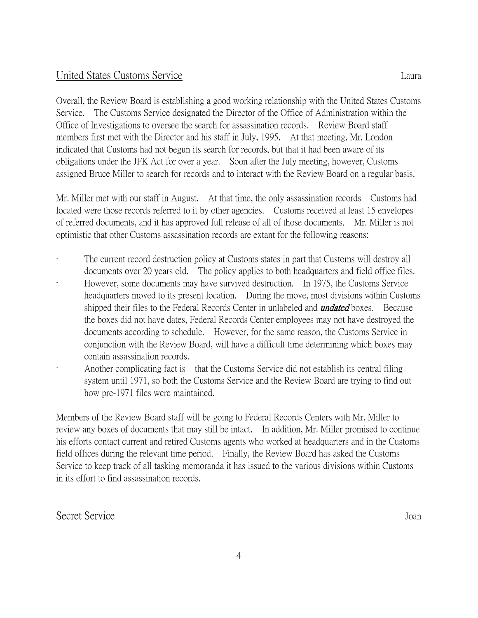Overall, the Review Board is establishing a good working relationship with the United States Customs Service. The Customs Service designated the Director of the Office of Administration within the Office of Investigations to oversee the search for assassination records. Review Board staff members first met with the Director and his staff in July, 1995. At that meeting, Mr. London indicated that Customs had not begun its search for records, but that it had been aware of its obligations under the JFK Act for over a year. Soon after the July meeting, however, Customs assigned Bruce Miller to search for records and to interact with the Review Board on a regular basis.

Mr. Miller met with our staff in August. At that time, the only assassination records Customs had located were those records referred to it by other agencies. Customs received at least 15 envelopes of referred documents, and it has approved full release of all of those documents. Mr. Miller is not optimistic that other Customs assassination records are extant for the following reasons:

- The current record destruction policy at Customs states in part that Customs will destroy all documents over 20 years old. The policy applies to both headquarters and field office files. However, some documents may have survived destruction. In 1975, the Customs Service headquarters moved to its present location. During the move, most divisions within Customs shipped their files to the Federal Records Center in unlabeled and **undated** boxes. Because the boxes did not have dates, Federal Records Center employees may not have destroyed the documents according to schedule. However, for the same reason, the Customs Service in conjunction with the Review Board, will have a difficult time determining which boxes may contain assassination records.
	- Another complicating fact is that the Customs Service did not establish its central filing system until 1971, so both the Customs Service and the Review Board are trying to find out how pre-1971 files were maintained.

Members of the Review Board staff will be going to Federal Records Centers with Mr. Miller to review any boxes of documents that may still be intact. In addition, Mr. Miller promised to continue his efforts contact current and retired Customs agents who worked at headquarters and in the Customs field offices during the relevant time period. Finally, the Review Board has asked the Customs Service to keep track of all tasking memoranda it has issued to the various divisions within Customs in its effort to find assassination records.

## Secret Service Joan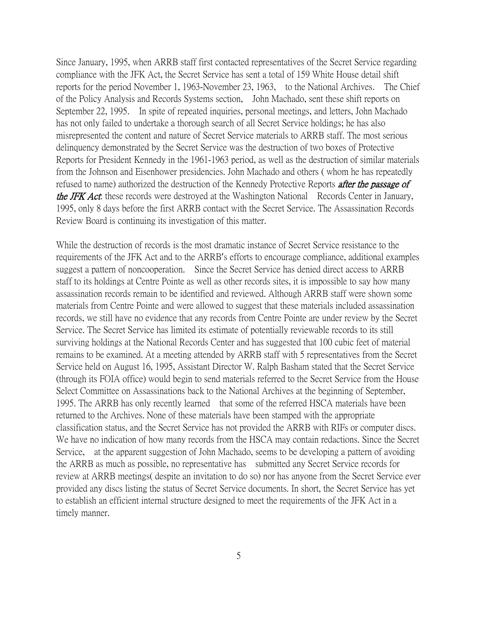Since January, 1995, when ARRB staff first contacted representatives of the Secret Service regarding compliance with the JFK Act, the Secret Service has sent a total of 159 White House detail shift reports for the period November 1, 1963-November 23, 1963, to the National Archives. The Chief of the Policy Analysis and Records Systems section, John Machado, sent these shift reports on September 22, 1995. In spite of repeated inquiries, personal meetings, and letters, John Machado has not only failed to undertake a thorough search of all Secret Service holdings; he has also misrepresented the content and nature of Secret Service materials to ARRB staff. The most serious delinquency demonstrated by the Secret Service was the destruction of two boxes of Protective Reports for President Kennedy in the 1961-1963 period, as well as the destruction of similar materials from the Johnson and Eisenhower presidencies. John Machado and others ( whom he has repeatedly refused to name) authorized the destruction of the Kennedy Protective Reports *after the passage of* the JFK Act: these records were destroyed at the Washington National Records Center in January, 1995, only 8 days before the first ARRB contact with the Secret Service. The Assassination Records Review Board is continuing its investigation of this matter.

While the destruction of records is the most dramatic instance of Secret Service resistance to the requirements of the JFK Act and to the ARRB's efforts to encourage compliance, additional examples suggest a pattern of noncooperation. Since the Secret Service has denied direct access to ARRB staff to its holdings at Centre Pointe as well as other records sites, it is impossible to say how many assassination records remain to be identified and reviewed. Although ARRB staff were shown some materials from Centre Pointe and were allowed to suggest that these materials included assassination records, we still have no evidence that any records from Centre Pointe are under review by the Secret Service. The Secret Service has limited its estimate of potentially reviewable records to its still surviving holdings at the National Records Center and has suggested that 100 cubic feet of material remains to be examined. At a meeting attended by ARRB staff with 5 representatives from the Secret Service held on August 16, 1995, Assistant Director W. Ralph Basham stated that the Secret Service (through its FOIA office) would begin to send materials referred to the Secret Service from the House Select Committee on Assassinations back to the National Archives at the beginning of September, 1995. The ARRB has only recently learned that some of the referred HSCA materials have been returned to the Archives. None of these materials have been stamped with the appropriate classification status, and the Secret Service has not provided the ARRB with RIFs or computer discs. We have no indication of how many records from the HSCA may contain redactions. Since the Secret Service, at the apparent suggestion of John Machado, seems to be developing a pattern of avoiding the ARRB as much as possible, no representative has submitted any Secret Service records for review at ARRB meetings( despite an invitation to do so) nor has anyone from the Secret Service ever provided any discs listing the status of Secret Service documents. In short, the Secret Service has yet to establish an efficient internal structure designed to meet the requirements of the JFK Act in a timely manner.